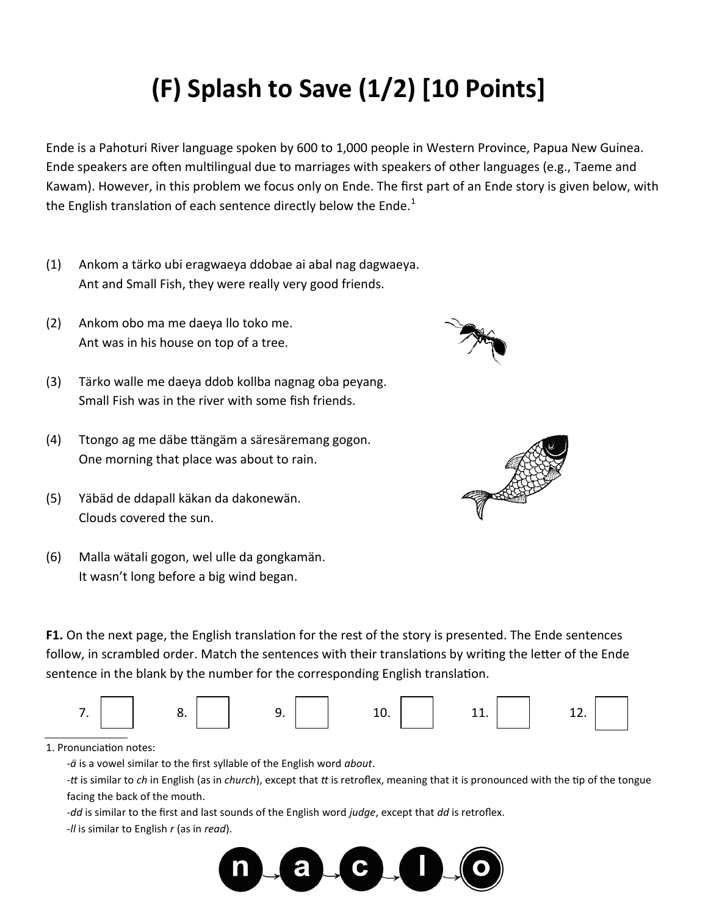## **(F) Splash to Save (1/2) [10 Points]**

Ende is a Pahoturi River language spoken by 600 to 1,000 people in Western Province, Papua New Guinea. Ende speakers are often multilingual due to marriages with speakers of other languages (e.g., Taeme and Kawam). However, in this problem we focus only on Ende. The first part of an Ende story is given below, with the English translation of each sentence directly below the Ende. $1$ 

- (1) Ankom a tärko ubi eragwaeya ddobae ai abal nag dagwaeya. Ant and Small Fish, they were really very good friends.
- (2) Ankom obo ma me daeya llo toko me. Ant was in his house on top of a tree.
- (3) Tärko walle me daeya ddob kollba nagnag oba peyang. Small Fish was in the river with some fish friends.
- (4) Ttongo ag me däbe ttängäm a säresäremang gogon. One morning that place was about to rain.
- (5) Yäbäd de ddapall käkan da dakonewän. Clouds covered the sun.
- (6) Malla wätali gogon, wel ulle da gongkamän. It wasn't long before a big wind began.

**F1.** On the next page, the English translation for the rest of the story is presented. The Ende sentences follow, in scrambled order. Match the sentences with their translations by writing the letter of the Ende sentence in the blank by the number for the corresponding English translation.



1. Pronunciation notes:

‐*ä* is a vowel similar to the first syllable of the English word *about*.

‐*tt* is similar to *ch* in English (as in *church*), except that *tt* is retroflex, meaning that it is pronounced with the tip of the tongue facing the back of the mouth.

‐*dd* is similar to the first and last sounds of the English word *judge*, except that *dd* is retroflex.

‐*ll* is similar to English *r* (as in *read*).